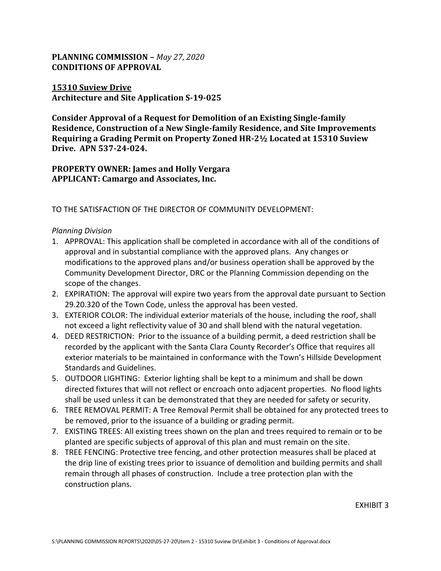# **PLANNING COMMISSION –** *May 27, 2020* **CONDITIONS OF APPROVAL**

### **15310 Suview Drive Architecture and Site Application S-19-025**

**Consider Approval of a Request for Demolition of an Existing Single-family Residence, Construction of a New Single-family Residence, and Site Improvements Requiring a Grading Permit on Property Zoned HR-2½ Located at 15310 Suview Drive. APN 537-24-024.** 

**PROPERTY OWNER: James and Holly Vergara APPLICANT: Camargo and Associates, Inc.**

TO THE SATISFACTION OF THE DIRECTOR OF COMMUNITY DEVELOPMENT:

### *Planning Division*

- 1. APPROVAL: This application shall be completed in accordance with all of the conditions of approval and in substantial compliance with the approved plans. Any changes or modifications to the approved plans and/or business operation shall be approved by the Community Development Director, DRC or the Planning Commission depending on the scope of the changes.
- 2. EXPIRATION: The approval will expire two years from the approval date pursuant to Section 29.20.320 of the Town Code, unless the approval has been vested.
- 3. EXTERIOR COLOR: The individual exterior materials of the house, including the roof, shall not exceed a light reflectivity value of 30 and shall blend with the natural vegetation.
- 4. DEED RESTRICTION: Prior to the issuance of a building permit, a deed restriction shall be recorded by the applicant with the Santa Clara County Recorder's Office that requires all exterior materials to be maintained in conformance with the Town's Hillside Development Standards and Guidelines.
- 5. OUTDOOR LIGHTING: Exterior lighting shall be kept to a minimum and shall be down directed fixtures that will not reflect or encroach onto adjacent properties. No flood lights shall be used unless it can be demonstrated that they are needed for safety or security.
- 6. TREE REMOVAL PERMIT: A Tree Removal Permit shall be obtained for any protected trees to be removed, prior to the issuance of a building or grading permit.
- 7. EXISTING TREES: All existing trees shown on the plan and trees required to remain or to be planted are specific subjects of approval of this plan and must remain on the site.
- 8. TREE FENCING: Protective tree fencing, and other protection measures shall be placed at the drip line of existing trees prior to issuance of demolition and building permits and shall remain through all phases of construction. Include a tree protection plan with the construction plans.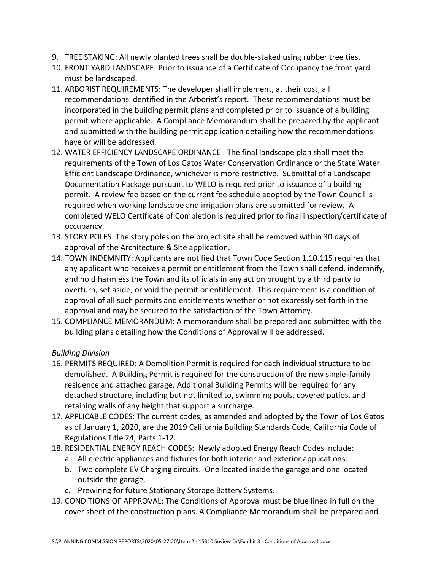- 9. TREE STAKING: All newly planted trees shall be double-staked using rubber tree ties.
- 10. FRONT YARD LANDSCAPE: Prior to issuance of a Certificate of Occupancy the front yard must be landscaped.
- 11. ARBORIST REQUIREMENTS: The developer shall implement, at their cost, all recommendations identified in the Arborist's report. These recommendations must be incorporated in the building permit plans and completed prior to issuance of a building permit where applicable. A Compliance Memorandum shall be prepared by the applicant and submitted with the building permit application detailing how the recommendations have or will be addressed.
- 12. WATER EFFICIENCY LANDSCAPE ORDINANCE: The final landscape plan shall meet the requirements of the Town of Los Gatos Water Conservation Ordinance or the State Water Efficient Landscape Ordinance, whichever is more restrictive. Submittal of a Landscape Documentation Package pursuant to WELO is required prior to issuance of a building permit. A review fee based on the current fee schedule adopted by the Town Council is required when working landscape and irrigation plans are submitted for review. A completed WELO Certificate of Completion is required prior to final inspection/certificate of occupancy.
- 13. STORY POLES: The story poles on the project site shall be removed within 30 days of approval of the Architecture & Site application.
- 14. TOWN INDEMNITY: Applicants are notified that Town Code Section 1.10.115 requires that any applicant who receives a permit or entitlement from the Town shall defend, indemnify, and hold harmless the Town and its officials in any action brought by a third party to overturn, set aside, or void the permit or entitlement. This requirement is a condition of approval of all such permits and entitlements whether or not expressly set forth in the approval and may be secured to the satisfaction of the Town Attorney.
- 15. COMPLIANCE MEMORANDUM: A memorandum shall be prepared and submitted with the building plans detailing how the Conditions of Approval will be addressed.

# *Building Division*

- 16. PERMITS REQUIRED: A Demolition Permit is required for each individual structure to be demolished. A Building Permit is required for the construction of the new single-family residence and attached garage. Additional Building Permits will be required for any detached structure, including but not limited to, swimming pools, covered patios, and retaining walls of any height that support a surcharge.
- 17. APPLICABLE CODES: The current codes, as amended and adopted by the Town of Los Gatos as of January 1, 2020, are the 2019 California Building Standards Code, California Code of Regulations Title 24, Parts 1-12.
- 18. RESIDENTIAL ENERGY REACH CODES: Newly adopted Energy Reach Codes include:
	- a. All electric appliances and fixtures for both interior and exterior applications.
	- b. Two complete EV Charging circuits. One located inside the garage and one located outside the garage.
	- c. Prewiring for future Stationary Storage Battery Systems.
- 19. CONDITIONS OF APPROVAL: The Conditions of Approval must be blue lined in full on the cover sheet of the construction plans. A Compliance Memorandum shall be prepared and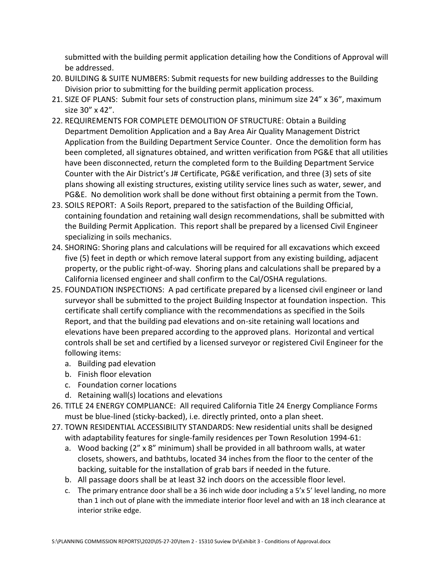submitted with the building permit application detailing how the Conditions of Approval will be addressed.

- 20. BUILDING & SUITE NUMBERS: Submit requests for new building addresses to the Building Division prior to submitting for the building permit application process.
- 21. SIZE OF PLANS: Submit four sets of construction plans, minimum size 24" x 36", maximum size 30" x 42".
- 22. REQUIREMENTS FOR COMPLETE DEMOLITION OF STRUCTURE: Obtain a Building Department Demolition Application and a Bay Area Air Quality Management District Application from the Building Department Service Counter. Once the demolition form has been completed, all signatures obtained, and written verification from PG&E that all utilities have been disconnected, return the completed form to the Building Department Service Counter with the Air District's J# Certificate, PG&E verification, and three (3) sets of site plans showing all existing structures, existing utility service lines such as water, sewer, and PG&E. No demolition work shall be done without first obtaining a permit from the Town.
- 23. SOILS REPORT: A Soils Report, prepared to the satisfaction of the Building Official, containing foundation and retaining wall design recommendations, shall be submitted with the Building Permit Application. This report shall be prepared by a licensed Civil Engineer specializing in soils mechanics.
- 24. SHORING: Shoring plans and calculations will be required for all excavations which exceed five (5) feet in depth or which remove lateral support from any existing building, adjacent property, or the public right-of-way. Shoring plans and calculations shall be prepared by a California licensed engineer and shall confirm to the Cal/OSHA regulations.
- 25. FOUNDATION INSPECTIONS: A pad certificate prepared by a licensed civil engineer or land surveyor shall be submitted to the project Building Inspector at foundation inspection. This certificate shall certify compliance with the recommendations as specified in the Soils Report, and that the building pad elevations and on-site retaining wall locations and elevations have been prepared according to the approved plans. Horizontal and vertical controls shall be set and certified by a licensed surveyor or registered Civil Engineer for the following items:
	- a. Building pad elevation
	- b. Finish floor elevation
	- c. Foundation corner locations
	- d. Retaining wall(s) locations and elevations
- 26. TITLE 24 ENERGY COMPLIANCE: All required California Title 24 Energy Compliance Forms must be blue-lined (sticky-backed), i.e. directly printed, onto a plan sheet.
- 27. TOWN RESIDENTIAL ACCESSIBILITY STANDARDS: New residential units shall be designed with adaptability features for single-family residences per Town Resolution 1994-61:
	- a. Wood backing (2" x 8" minimum) shall be provided in all bathroom walls, at water closets, showers, and bathtubs, located 34 inches from the floor to the center of the backing, suitable for the installation of grab bars if needed in the future.
	- b. All passage doors shall be at least 32 inch doors on the accessible floor level.
	- c. The primary entrance door shall be a 36 inch wide door including a 5'x 5' level landing, no more than 1 inch out of plane with the immediate interior floor level and with an 18 inch clearance at interior strike edge.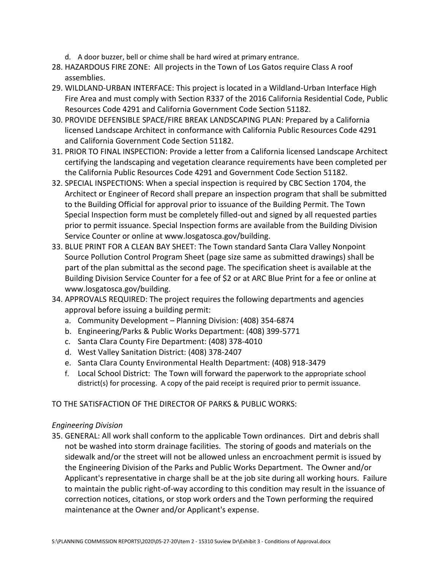- d. A door buzzer, bell or chime shall be hard wired at primary entrance.
- 28. HAZARDOUS FIRE ZONE: All projects in the Town of Los Gatos require Class A roof assemblies.
- 29. WILDLAND-URBAN INTERFACE: This project is located in a Wildland-Urban Interface High Fire Area and must comply with Section R337 of the 2016 California Residential Code, Public Resources Code 4291 and California Government Code Section 51182.
- 30. PROVIDE DEFENSIBLE SPACE/FIRE BREAK LANDSCAPING PLAN: Prepared by a California licensed Landscape Architect in conformance with California Public Resources Code 4291 and California Government Code Section 51182.
- 31. PRIOR TO FINAL INSPECTION: Provide a letter from a California licensed Landscape Architect certifying the landscaping and vegetation clearance requirements have been completed per the California Public Resources Code 4291 and Government Code Section 51182.
- 32. SPECIAL INSPECTIONS: When a special inspection is required by CBC Section 1704, the Architect or Engineer of Record shall prepare an inspection program that shall be submitted to the Building Official for approval prior to issuance of the Building Permit. The Town Special Inspection form must be completely filled-out and signed by all requested parties prior to permit issuance. Special Inspection forms are available from the Building Division Service Counter or online at www.losgatosca.gov/building.
- 33. BLUE PRINT FOR A CLEAN BAY SHEET: The Town standard Santa Clara Valley Nonpoint Source Pollution Control Program Sheet (page size same as submitted drawings) shall be part of the plan submittal as the second page. The specification sheet is available at the Building Division Service Counter for a fee of \$2 or at ARC Blue Print for a fee or online at www.losgatosca.gov/building.
- 34. APPROVALS REQUIRED: The project requires the following departments and agencies approval before issuing a building permit:
	- a. Community Development Planning Division: (408) 354-6874
	- b. Engineering/Parks & Public Works Department: (408) 399-5771
	- c. Santa Clara County Fire Department: (408) 378-4010
	- d. West Valley Sanitation District: (408) 378-2407
	- e. Santa Clara County Environmental Health Department: (408) 918-3479
	- f. Local School District: The Town will forward the paperwork to the appropriate school district(s) for processing. A copy of the paid receipt is required prior to permit issuance.

### TO THE SATISFACTION OF THE DIRECTOR OF PARKS & PUBLIC WORKS:

### *Engineering Division*

35. GENERAL: All work shall conform to the applicable Town ordinances. Dirt and debris shall not be washed into storm drainage facilities. The storing of goods and materials on the sidewalk and/or the street will not be allowed unless an encroachment permit is issued by the Engineering Division of the Parks and Public Works Department. The Owner and/or Applicant's representative in charge shall be at the job site during all working hours. Failure to maintain the public right-of-way according to this condition may result in the issuance of correction notices, citations, or stop work orders and the Town performing the required maintenance at the Owner and/or Applicant's expense.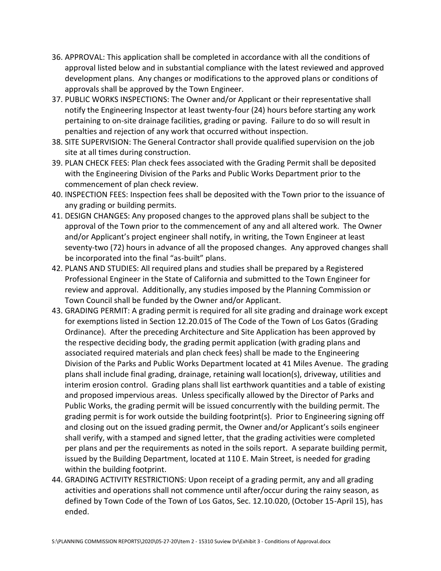- 36. APPROVAL: This application shall be completed in accordance with all the conditions of approval listed below and in substantial compliance with the latest reviewed and approved development plans. Any changes or modifications to the approved plans or conditions of approvals shall be approved by the Town Engineer.
- 37. PUBLIC WORKS INSPECTIONS: The Owner and/or Applicant or their representative shall notify the Engineering Inspector at least twenty-four (24) hours before starting any work pertaining to on-site drainage facilities, grading or paving. Failure to do so will result in penalties and rejection of any work that occurred without inspection.
- 38. SITE SUPERVISION: The General Contractor shall provide qualified supervision on the job site at all times during construction.
- 39. PLAN CHECK FEES: Plan check fees associated with the Grading Permit shall be deposited with the Engineering Division of the Parks and Public Works Department prior to the commencement of plan check review.
- 40. INSPECTION FEES: Inspection fees shall be deposited with the Town prior to the issuance of any grading or building permits.
- 41. DESIGN CHANGES: Any proposed changes to the approved plans shall be subject to the approval of the Town prior to the commencement of any and all altered work. The Owner and/or Applicant's project engineer shall notify, in writing, the Town Engineer at least seventy-two (72) hours in advance of all the proposed changes. Any approved changes shall be incorporated into the final "as-built" plans.
- 42. PLANS AND STUDIES: All required plans and studies shall be prepared by a Registered Professional Engineer in the State of California and submitted to the Town Engineer for review and approval. Additionally, any studies imposed by the Planning Commission or Town Council shall be funded by the Owner and/or Applicant.
- 43. GRADING PERMIT: A grading permit is required for all site grading and drainage work except for exemptions listed in Section 12.20.015 of The Code of the Town of Los Gatos (Grading Ordinance). After the preceding Architecture and Site Application has been approved by the respective deciding body, the grading permit application (with grading plans and associated required materials and plan check fees) shall be made to the Engineering Division of the Parks and Public Works Department located at 41 Miles Avenue. The grading plans shall include final grading, drainage, retaining wall location(s), driveway, utilities and interim erosion control. Grading plans shall list earthwork quantities and a table of existing and proposed impervious areas. Unless specifically allowed by the Director of Parks and Public Works, the grading permit will be issued concurrently with the building permit. The grading permit is for work outside the building footprint(s). Prior to Engineering signing off and closing out on the issued grading permit, the Owner and/or Applicant's soils engineer shall verify, with a stamped and signed letter, that the grading activities were completed per plans and per the requirements as noted in the soils report. A separate building permit, issued by the Building Department, located at 110 E. Main Street, is needed for grading within the building footprint.
- 44. GRADING ACTIVITY RESTRICTIONS: Upon receipt of a grading permit, any and all grading activities and operations shall not commence until after/occur during the rainy season, as defined by Town Code of the Town of Los Gatos, Sec. 12.10.020, (October 15-April 15), has ended.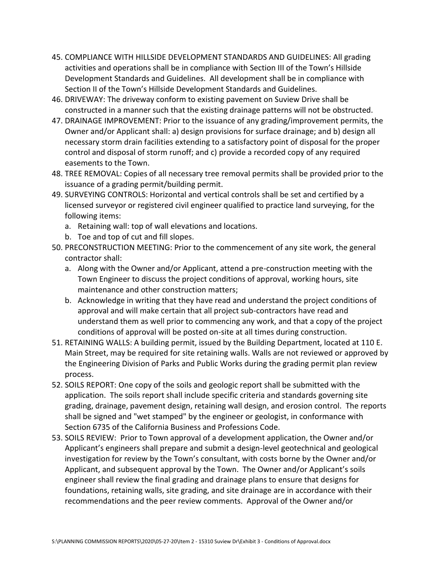- 45. COMPLIANCE WITH HILLSIDE DEVELOPMENT STANDARDS AND GUIDELINES: All grading activities and operations shall be in compliance with Section III of the Town's Hillside Development Standards and Guidelines. All development shall be in compliance with Section II of the Town's Hillside Development Standards and Guidelines.
- 46. DRIVEWAY: The driveway conform to existing pavement on Suview Drive shall be constructed in a manner such that the existing drainage patterns will not be obstructed.
- 47. DRAINAGE IMPROVEMENT: Prior to the issuance of any grading/improvement permits, the Owner and/or Applicant shall: a) design provisions for surface drainage; and b) design all necessary storm drain facilities extending to a satisfactory point of disposal for the proper control and disposal of storm runoff; and c) provide a recorded copy of any required easements to the Town.
- 48. TREE REMOVAL: Copies of all necessary tree removal permits shall be provided prior to the issuance of a grading permit/building permit.
- 49. SURVEYING CONTROLS: Horizontal and vertical controls shall be set and certified by a licensed surveyor or registered civil engineer qualified to practice land surveying, for the following items:
	- a. Retaining wall: top of wall elevations and locations.
	- b. Toe and top of cut and fill slopes.
- 50. PRECONSTRUCTION MEETING: Prior to the commencement of any site work, the general contractor shall:
	- a. Along with the Owner and/or Applicant, attend a pre-construction meeting with the Town Engineer to discuss the project conditions of approval, working hours, site maintenance and other construction matters;
	- b. Acknowledge in writing that they have read and understand the project conditions of approval and will make certain that all project sub-contractors have read and understand them as well prior to commencing any work, and that a copy of the project conditions of approval will be posted on-site at all times during construction.
- 51. RETAINING WALLS: A building permit, issued by the Building Department, located at 110 E. Main Street, may be required for site retaining walls. Walls are not reviewed or approved by the Engineering Division of Parks and Public Works during the grading permit plan review process.
- 52. SOILS REPORT: One copy of the soils and geologic report shall be submitted with the application. The soils report shall include specific criteria and standards governing site grading, drainage, pavement design, retaining wall design, and erosion control. The reports shall be signed and "wet stamped" by the engineer or geologist, in conformance with Section 6735 of the California Business and Professions Code.
- 53. SOILS REVIEW: Prior to Town approval of a development application, the Owner and/or Applicant's engineers shall prepare and submit a design-level geotechnical and geological investigation for review by the Town's consultant, with costs borne by the Owner and/or Applicant, and subsequent approval by the Town. The Owner and/or Applicant's soils engineer shall review the final grading and drainage plans to ensure that designs for foundations, retaining walls, site grading, and site drainage are in accordance with their recommendations and the peer review comments. Approval of the Owner and/or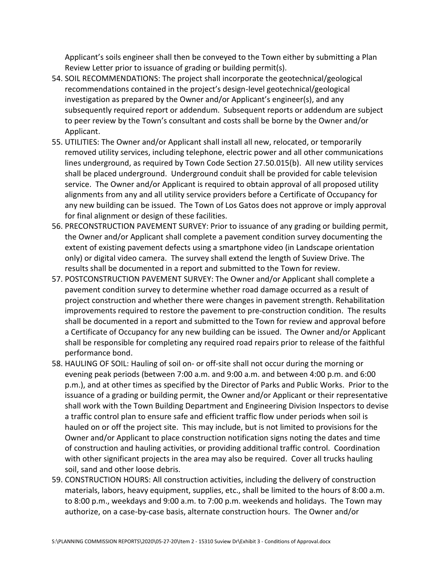Applicant's soils engineer shall then be conveyed to the Town either by submitting a Plan Review Letter prior to issuance of grading or building permit(s).

- 54. SOIL RECOMMENDATIONS: The project shall incorporate the geotechnical/geological recommendations contained in the project's design-level geotechnical/geological investigation as prepared by the Owner and/or Applicant's engineer(s), and any subsequently required report or addendum. Subsequent reports or addendum are subject to peer review by the Town's consultant and costs shall be borne by the Owner and/or Applicant.
- 55. UTILITIES: The Owner and/or Applicant shall install all new, relocated, or temporarily removed utility services, including telephone, electric power and all other communications lines underground, as required by Town Code Section 27.50.015(b). All new utility services shall be placed underground. Underground conduit shall be provided for cable television service. The Owner and/or Applicant is required to obtain approval of all proposed utility alignments from any and all utility service providers before a Certificate of Occupancy for any new building can be issued. The Town of Los Gatos does not approve or imply approval for final alignment or design of these facilities.
- 56. PRECONSTRUCTION PAVEMENT SURVEY: Prior to issuance of any grading or building permit, the Owner and/or Applicant shall complete a pavement condition survey documenting the extent of existing pavement defects using a smartphone video (in Landscape orientation only) or digital video camera. The survey shall extend the length of Suview Drive. The results shall be documented in a report and submitted to the Town for review.
- 57. POSTCONSTRUCTION PAVEMENT SURVEY: The Owner and/or Applicant shall complete a pavement condition survey to determine whether road damage occurred as a result of project construction and whether there were changes in pavement strength. Rehabilitation improvements required to restore the pavement to pre-construction condition. The results shall be documented in a report and submitted to the Town for review and approval before a Certificate of Occupancy for any new building can be issued. The Owner and/or Applicant shall be responsible for completing any required road repairs prior to release of the faithful performance bond.
- 58. HAULING OF SOIL: Hauling of soil on- or off-site shall not occur during the morning or evening peak periods (between 7:00 a.m. and 9:00 a.m. and between 4:00 p.m. and 6:00 p.m.), and at other times as specified by the Director of Parks and Public Works. Prior to the issuance of a grading or building permit, the Owner and/or Applicant or their representative shall work with the Town Building Department and Engineering Division Inspectors to devise a traffic control plan to ensure safe and efficient traffic flow under periods when soil is hauled on or off the project site. This may include, but is not limited to provisions for the Owner and/or Applicant to place construction notification signs noting the dates and time of construction and hauling activities, or providing additional traffic control. Coordination with other significant projects in the area may also be required. Cover all trucks hauling soil, sand and other loose debris.
- 59. CONSTRUCTION HOURS: All construction activities, including the delivery of construction materials, labors, heavy equipment, supplies, etc., shall be limited to the hours of 8:00 a.m. to 8:00 p.m., weekdays and 9:00 a.m. to 7:00 p.m. weekends and holidays. The Town may authorize, on a case-by-case basis, alternate construction hours. The Owner and/or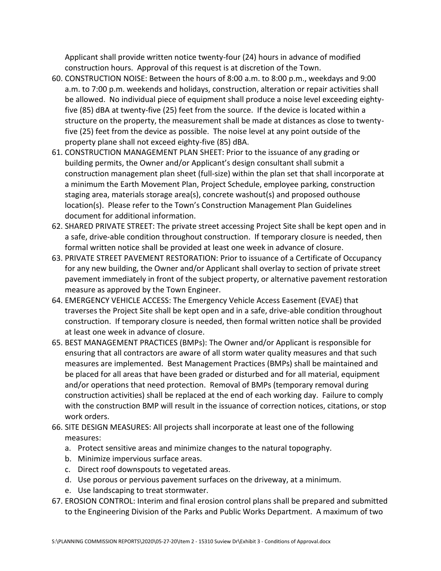Applicant shall provide written notice twenty-four (24) hours in advance of modified construction hours. Approval of this request is at discretion of the Town.

- 60. CONSTRUCTION NOISE: Between the hours of 8:00 a.m. to 8:00 p.m., weekdays and 9:00 a.m. to 7:00 p.m. weekends and holidays, construction, alteration or repair activities shall be allowed. No individual piece of equipment shall produce a noise level exceeding eightyfive (85) dBA at twenty-five (25) feet from the source. If the device is located within a structure on the property, the measurement shall be made at distances as close to twentyfive (25) feet from the device as possible. The noise level at any point outside of the property plane shall not exceed eighty-five (85) dBA.
- 61. CONSTRUCTION MANAGEMENT PLAN SHEET: Prior to the issuance of any grading or building permits, the Owner and/or Applicant's design consultant shall submit a construction management plan sheet (full-size) within the plan set that shall incorporate at a minimum the Earth Movement Plan, Project Schedule, employee parking, construction staging area, materials storage area(s), concrete washout(s) and proposed outhouse location(s). Please refer to the Town's Construction Management Plan Guidelines document for additional information.
- 62. SHARED PRIVATE STREET: The private street accessing Project Site shall be kept open and in a safe, drive-able condition throughout construction. If temporary closure is needed, then formal written notice shall be provided at least one week in advance of closure.
- 63. PRIVATE STREET PAVEMENT RESTORATION: Prior to issuance of a Certificate of Occupancy for any new building, the Owner and/or Applicant shall overlay to section of private street pavement immediately in front of the subject property, or alternative pavement restoration measure as approved by the Town Engineer.
- 64. EMERGENCY VEHICLE ACCESS: The Emergency Vehicle Access Easement (EVAE) that traverses the Project Site shall be kept open and in a safe, drive-able condition throughout construction. If temporary closure is needed, then formal written notice shall be provided at least one week in advance of closure.
- 65. BEST MANAGEMENT PRACTICES (BMPs): The Owner and/or Applicant is responsible for ensuring that all contractors are aware of all storm water quality measures and that such measures are implemented. Best Management Practices (BMPs) shall be maintained and be placed for all areas that have been graded or disturbed and for all material, equipment and/or operations that need protection. Removal of BMPs (temporary removal during construction activities) shall be replaced at the end of each working day. Failure to comply with the construction BMP will result in the issuance of correction notices, citations, or stop work orders.
- 66. SITE DESIGN MEASURES: All projects shall incorporate at least one of the following measures:
	- a. Protect sensitive areas and minimize changes to the natural topography.
	- b. Minimize impervious surface areas.
	- c. Direct roof downspouts to vegetated areas.
	- d. Use porous or pervious pavement surfaces on the driveway, at a minimum.
	- e. Use landscaping to treat stormwater.
- 67. EROSION CONTROL: Interim and final erosion control plans shall be prepared and submitted to the Engineering Division of the Parks and Public Works Department. A maximum of two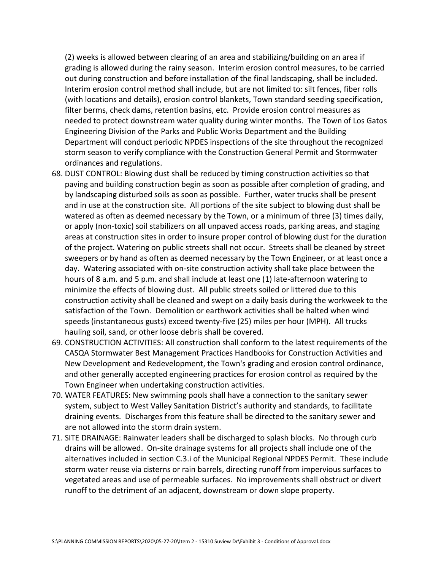(2) weeks is allowed between clearing of an area and stabilizing/building on an area if grading is allowed during the rainy season. Interim erosion control measures, to be carried out during construction and before installation of the final landscaping, shall be included. Interim erosion control method shall include, but are not limited to: silt fences, fiber rolls (with locations and details), erosion control blankets, Town standard seeding specification, filter berms, check dams, retention basins, etc. Provide erosion control measures as needed to protect downstream water quality during winter months. The Town of Los Gatos Engineering Division of the Parks and Public Works Department and the Building Department will conduct periodic NPDES inspections of the site throughout the recognized storm season to verify compliance with the Construction General Permit and Stormwater ordinances and regulations.

- 68. DUST CONTROL: Blowing dust shall be reduced by timing construction activities so that paving and building construction begin as soon as possible after completion of grading, and by landscaping disturbed soils as soon as possible. Further, water trucks shall be present and in use at the construction site. All portions of the site subject to blowing dust shall be watered as often as deemed necessary by the Town, or a minimum of three (3) times daily, or apply (non-toxic) soil stabilizers on all unpaved access roads, parking areas, and staging areas at construction sites in order to insure proper control of blowing dust for the duration of the project. Watering on public streets shall not occur. Streets shall be cleaned by street sweepers or by hand as often as deemed necessary by the Town Engineer, or at least once a day. Watering associated with on-site construction activity shall take place between the hours of 8 a.m. and 5 p.m. and shall include at least one (1) late-afternoon watering to minimize the effects of blowing dust. All public streets soiled or littered due to this construction activity shall be cleaned and swept on a daily basis during the workweek to the satisfaction of the Town. Demolition or earthwork activities shall be halted when wind speeds (instantaneous gusts) exceed twenty-five (25) miles per hour (MPH). All trucks hauling soil, sand, or other loose debris shall be covered.
- 69. CONSTRUCTION ACTIVITIES: All construction shall conform to the latest requirements of the CASQA Stormwater Best Management Practices Handbooks for Construction Activities and New Development and Redevelopment, the Town's grading and erosion control ordinance, and other generally accepted engineering practices for erosion control as required by the Town Engineer when undertaking construction activities.
- 70. WATER FEATURES: New swimming pools shall have a connection to the sanitary sewer system, subject to West Valley Sanitation District's authority and standards, to facilitate draining events. Discharges from this feature shall be directed to the sanitary sewer and are not allowed into the storm drain system.
- 71. SITE DRAINAGE: Rainwater leaders shall be discharged to splash blocks. No through curb drains will be allowed. On-site drainage systems for all projects shall include one of the alternatives included in section C.3.i of the Municipal Regional NPDES Permit. These include storm water reuse via cisterns or rain barrels, directing runoff from impervious surfaces to vegetated areas and use of permeable surfaces. No improvements shall obstruct or divert runoff to the detriment of an adjacent, downstream or down slope property.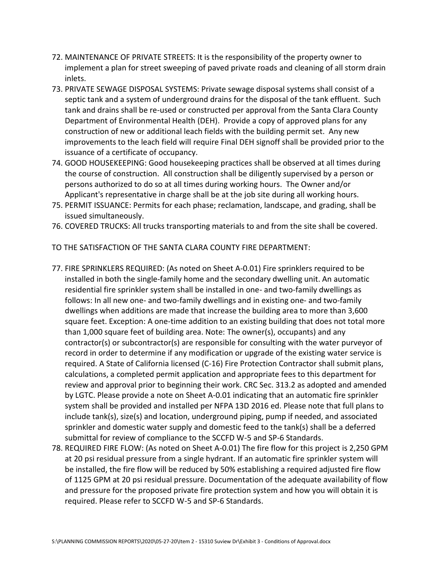- 72. MAINTENANCE OF PRIVATE STREETS: It is the responsibility of the property owner to implement a plan for street sweeping of paved private roads and cleaning of all storm drain inlets.
- 73. PRIVATE SEWAGE DISPOSAL SYSTEMS: Private sewage disposal systems shall consist of a septic tank and a system of underground drains for the disposal of the tank effluent. Such tank and drains shall be re-used or constructed per approval from the Santa Clara County Department of Environmental Health (DEH). Provide a copy of approved plans for any construction of new or additional leach fields with the building permit set. Any new improvements to the leach field will require Final DEH signoff shall be provided prior to the issuance of a certificate of occupancy.
- 74. GOOD HOUSEKEEPING: Good housekeeping practices shall be observed at all times during the course of construction. All construction shall be diligently supervised by a person or persons authorized to do so at all times during working hours. The Owner and/or Applicant's representative in charge shall be at the job site during all working hours.
- 75. PERMIT ISSUANCE: Permits for each phase; reclamation, landscape, and grading, shall be issued simultaneously.
- 76. COVERED TRUCKS: All trucks transporting materials to and from the site shall be covered.
- TO THE SATISFACTION OF THE SANTA CLARA COUNTY FIRE DEPARTMENT:
- 77. FIRE SPRINKLERS REQUIRED: (As noted on Sheet A-0.01) Fire sprinklers required to be installed in both the single-family home and the secondary dwelling unit. An automatic residential fire sprinkler system shall be installed in one- and two-family dwellings as follows: In all new one- and two-family dwellings and in existing one- and two-family dwellings when additions are made that increase the building area to more than 3,600 square feet. Exception: A one-time addition to an existing building that does not total more than 1,000 square feet of building area. Note: The owner(s), occupants) and any contractor(s) or subcontractor(s) are responsible for consulting with the water purveyor of record in order to determine if any modification or upgrade of the existing water service is required. A State of California licensed (C-16) Fire Protection Contractor shall submit plans, calculations, a completed permit application and appropriate fees to this department for review and approval prior to beginning their work. CRC Sec. 313.2 as adopted and amended by LGTC. Please provide a note on Sheet A-0.01 indicating that an automatic fire sprinkler system shall be provided and installed per NFPA 13D 2016 ed. Please note that full plans to include tank(s), size(s) and location, underground piping, pump if needed, and associated sprinkler and domestic water supply and domestic feed to the tank(s) shall be a deferred submittal for review of compliance to the SCCFD W-5 and SP-6 Standards.
- 78. REQUIRED FIRE FLOW: (As noted on Sheet A-0.01) The fire flow for this project is 2,250 GPM at 20 psi residual pressure from a single hydrant. If an automatic fire sprinkler system will be installed, the fire flow will be reduced by 50% establishing a required adjusted fire flow of 1125 GPM at 20 psi residual pressure. Documentation of the adequate availability of flow and pressure for the proposed private fire protection system and how you will obtain it is required. Please refer to SCCFD W-5 and SP-6 Standards.